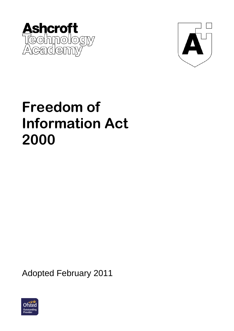



# **Freedom of Information Act 2000**

Adopted February 2011

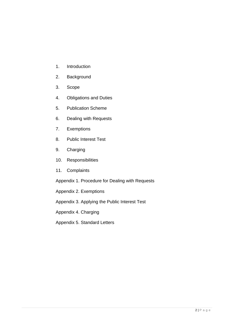- 1. Introduction
- 2. Background
- 3. Scope
- 4. Obligations and Duties
- 5. Publication Scheme
- 6. Dealing with Requests
- 7. Exemptions
- 8. Public Interest Test
- 9. Charging
- 10. Responsibilities
- 11. Complaints

Appendix 1. Procedure for Dealing with Requests

Appendix 2. Exemptions

Appendix 3. Applying the Public Interest Test

Appendix 4. Charging

Appendix 5. Standard Letters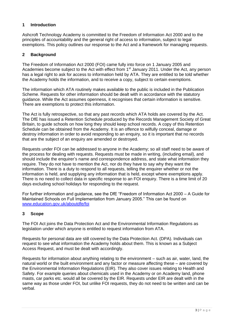#### **1 Introduction**

Ashcroft Technology Academy is committed to the Freedom of Information Act 2000 and to the principles of accountability and the general right of access to information, subject to legal exemptions. This policy outlines our response to the Act and a framework for managing requests.

#### **2 Background**

The Freedom of Information Act 2000 (FOI) came fully into force on 1 January 2005 and Academies become subject to the Act with effect from 1<sup>st</sup> January 2011. Under the Act, any person has a legal right to ask for access to information held by ATA. They are entitled to be told whether the Academy holds the information, and to receive a copy, subject to certain exemptions.

The information which ATA routinely makes available to the public is included in the Publication Scheme. Requests for other information should be dealt with in accordance with the statutory guidance. While the Act assumes openness, it recognises that certain information is sensitive. There are exemptions to protect this information.

The Act is fully retrospective, so that any past records which ATA holds are covered by the Act. The DfE has issued a Retention Schedule produced by the Records Management Society of Great Britain, to guide schools on how long they should keep school records. A copy of this Retention Schedule can be obtained from the Academy. It is an offence to wilfully conceal, damage or destroy information in order to avoid responding to an enquiry, so it is important that no records that are the subject of an enquiry are amended or destroyed.

Requests under FOI can be addressed to anyone in the Academy; so all staff need to be aware of the process for dealing with requests. Requests must be made in writing, (including email), and should include the enquirer"s name and correspondence address, and state what information they require. They do not have to mention the Act, nor do they have to say why they want the information. There is a duty to respond to all requests, telling the enquirer whether or not the information is held, and supplying any information that is held, except where exemptions apply. There is no need to collect data in specific response to an FOI enquiry. There is a time limit of 20 days excluding school holidays for responding to the request.

For further information and guidance, see the DfE "Freedom of Information Act 2000 – A Guide for Maintained Schools on Full Implementation from January 2005." This can be found on [www.education.gov.uk/aboutdfe/foi](http://www.education.gov.uk/aboutdfe/foi)

#### **3 Scope**

The FOI Act joins the Data Protection Act and the Environmental Information Regulations as legislation under which anyone is entitled to request information from ATA.

Requests for personal data are still covered by the Data Protection Act. (DPA). Individuals can request to see what information the Academy holds about them. This is known as a Subject Access Request, and must be dealt with accordingly.

Requests for information about anything relating to the environment – such as air, water, land, the natural world or the built environment and any factor or measure affecting these – are covered by the Environmental Information Regulations (EIR). They also cover issues relating to Health and Safety. For example queries about chemicals used in the Academy or on Academy land, phone masts, car parks etc. would all be covered by the EIR. Requests under EIR are dealt with in the same way as those under FOI, but unlike FOI requests, they do not need to be written and can be verbal.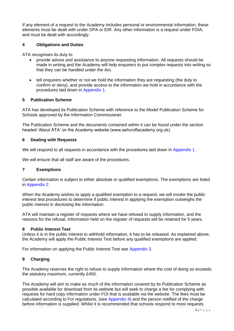If any element of a request to the Academy includes personal or environmental information, these elements must be dealt with under DPA or EIR. Any other information is a request under FOIA, and must be dealt with accordingly.

#### **4 Obligations and Duties**

ATA recognises its duty to

- provide advice and assistance to anyone requesting information. All requests should be made in writing and the Academy will help enquirers to put complex requests into writing so that they can be handled under the Act.
- tell enquirers whether or not we hold the information they are requesting (the duty to confirm or deny), and provide access to the information we hold in accordance with the procedures laid down in Appendix 1.

#### **5 Publication Scheme**

ATA has developed its Publication Scheme with reference to the Model Publication Scheme for Schools approved by the Information Commissioner.

The Publication Scheme and the documents contained within it can be found under the section headed "About ATA" on the Academy website (www.ashcroftacademy.org.uk).

#### **6 Dealing with Requests**

We will respond to all requests in accordance with the procedures laid down in Appendix 1.

We will ensure that all staff are aware of the procedures.

#### **7 Exemptions**

Certain information is subject to either absolute or qualified exemptions. The exemptions are listed in Appendix 2.

When the Academy wishes to apply a qualified exemption to a request, we will invoke the public interest test procedures to determine if public interest in applying the exemption outweighs the public interest in disclosing the information.

ATA will maintain a register of requests where we have refused to supply information, and the reasons for the refusal. Information held on the register of requests will be retained for 5 years.

#### **8 Public Interest Test**

Unless it is in the public interest to withhold information, it has to be released. As explained above, the Academy will apply the Public Interest Test before any qualified exemptions are applied.

For information on applying the Public Interest Test see Appendix 3.

#### **9 Charging**

The Academy reserves the right to refuse to supply information where the cost of doing so exceeds the statutory maximum, currently £450.

The Academy will aim to make as much of the information covered by its Publication Scheme as possible available for download from its website but will seek to charge a fee for complying with requests for hard copy information under FOI that is available via the website. The fees must be calculated according to FoI regulations, (see Appendix 4) and the person notified of the charge before information is supplied. Whilst it is recommended that schools respond to most requests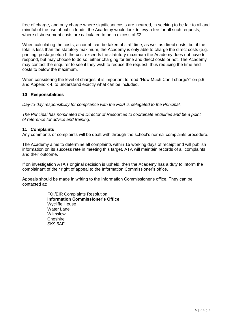free of charge, and only charge where significant costs are incurred, in seeking to be fair to all and mindful of the use of public funds, the Academy would look to levy a fee for all such requests, where disbursement costs are calculated to be in excess of £2.

When calculating the costs, account can be taken of staff time, as well as direct costs, but if the total is less than the statutory maximum, the Academy is only able to charge the direct costs (e.g. printing, postage etc.) If the cost exceeds the statutory maximum the Academy does not have to respond, but may choose to do so, either charging for time and direct costs or not. The Academy may contact the enquirer to see if they wish to reduce the request, thus reducing the time and costs to below the maximum.

When considering the level of charges, it is important to read "How Much Can I charge?" on p.9, and Appendix 4, to understand exactly what can be included.

#### **10 Responsibilities**

*Day-to-day responsibility for compliance with the FoIA is delegated to the Principal.*

*The Principal has nominated the Director of Resources to coordinate enquiries and be a point of reference for advice and training.*

#### **11 Complaints**

Any comments or complaints will be dealt with through the school"s normal complaints procedure.

The Academy aims to determine all complaints within 15 working days of receipt and will publish information on its success rate in meeting this target. ATA will maintain records of all complaints and their outcome.

If on investigation ATA"s original decision is upheld, then the Academy has a duty to inform the complainant of their right of appeal to the Information Commissioner"s office.

Appeals should be made in writing to the Information Commissioner"s office. They can be contacted at:

> FOI/EIR Complaints Resolution **Information Commissioner's Office** Wycliffe House Water Lane Wilmslow **Cheshire** SK9 5AF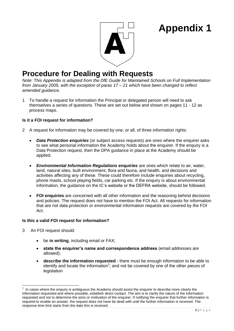

### **Procedure for Dealing with Requests**

*Note: This Appendix is adapted from the DfE Guide for Maintained Schools on Full Implementation from January 2005, with the exception of paras 17 – 21 which have been changed to reflect amended guidance.*

1 To handle a request for information the Principal or delegated person will need to ask themselves a series of questions. These are set out below and shown on pages 11 - 12 as process maps.

#### **Is it a FOI request for information?**

- 2 A request for information may be covered by one, or all, of three information rights:
	- **Data Protection enquiries** (or subject access requests) are ones where the enquirer asks to see what personal information the Academy holds about the enquirer. If the enquiry is a Data Protection request, then the DPA guidance in place at the Academy should be applied.
	- *Environmental Information Regulations enquiries* are ones which relate to air, water, land, natural sites, built environment, flora and fauna, and health, and decisions and activities affecting any of these. These could therefore include enquiries about recycling, phone masts, school playing fields, car parking etc. If the enquiry is about environmental information, the guidance on the IC"s website or the DEFRA website, should be followed.
	- **FOI enquiries** are concerned with all other information and the reasoning behind decisions and policies. The request does not have to mention the FOI Act. All requests for information that are not data protection or environmental information requests are covered by the FOI Act.

#### **Is this a valid FOI request for information?**

- 3 An FOI request should:
	- be **in writing**, including email or FAX;
	- **state the enquirer's name and correspondence address** (email addresses are allowed);
	- **describe the information requested**  there must be enough information to be able to identify and locate the information<sup>1</sup>; and not be covered by one of the other pieces of legislation

 1 In cases where the enquiry is ambiguous the Academy should assist the enquirer to describe more clearly the information requested and where possible, establish direct contact. The aim is to clarify the nature of the information requested and not to determine the aims or motivation of the enquirer. If notifying the enquirer that further information is required to enable an answer, the request does not have be dealt with until the further information is received. The response time limit starts from the date this is received.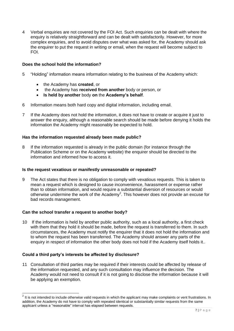4 Verbal enquiries are not covered by the FOI Act. Such enquiries can be dealt with where the enquiry is relatively straightforward and can be dealt with satisfactorily. However, for more complex enquiries, and to avoid disputes over what was asked for, the Academy should ask the enquirer to put the request in writing or email, when the request will become subject to FOI.

#### **Does the school hold the information?**

- 5 "Holding" information means information relating to the business of the Academy which:
	- the Academy has **created**, or
	- the Academy has **received from another** body or person, or
	- **Is held by another** body **on** the **Academy's behalf**.
- 6 Information means both hard copy and digital information, including email.
- 7 If the Academy does not hold the information, it does not have to create or acquire it just to answer the enquiry, although a reasonable search should be made before denying it holds the information the Academy might reasonably be expected to hold.

#### **Has the information requested already been made public?**

8 If the information requested is already in the public domain (for instance through the Publication Scheme or on the Academy website) the enquirer should be directed to the information and informed how to access it.

#### **Is the request vexatious or manifestly unreasonable or repeated?**

9 The Act states that there is no obligation to comply with vexatious requests. This is taken to mean a request which is designed to cause inconvenience, harassment or expense rather than to obtain information, and would require a substantial diversion of resources or would otherwise undermine the work of the Academy<sup>2</sup>. This however does not provide an excuse for bad records management.

#### **Can the school transfer a request to another body?**

10 If the information is held by another public authority, such as a local authority, a first check with them that they hold it should be made, before the request is transferred to them. In such circumstances, the Academy must notify the enquirer that it does not hold the information and to whom the request has been transferred. The Academy should answer any parts of the enquiry in respect of information the other body does not hold if the Academy itself holds it..

#### **Could a third party's interests be affected by disclosure?**

11 Consultation of third parties may be required if their interests could be affected by release of the information requested, and any such consultation may influence the decision. The Academy would not need to consult if it is not going to disclose the information because it will be applying an exemption.

<sup>&</sup>lt;u>2</u><br><sup>2</sup> It is not intended to include otherwise valid requests in which the applicant may make complaints or vent frustrations. In addition, the Academy do not have to comply with repeated identical or substantially similar requests from the same applicant unless a "reasonable" interval has elapsed between requests.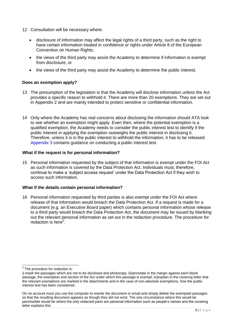- 12 Consultation will be necessary where:
	- disclosure of information may affect the legal rights of a third party, such as the right to have certain information treated in confidence or rights under Article 8 of the European Convention on Human Rights;
	- the views of the third party may assist the Academy to determine if information is exempt from disclosure, or
	- the views of the third party may assist the Academy to determine the public interest.

#### **Does an exemption apply?**

- 13 The presumption of the legislation is that the Academy will disclose information unless the Act provides a specific reason to withhold it. There are more than 20 exemptions. They are set out in Appendix 2 and are mainly intended to protect sensitive or confidential information.
- 14 Only where the Academy has real concerns about disclosing the information should ATA look to see whether an exemption might apply. Even then, where the potential exemption is a qualified exemption, the Academy needs to consider the public interest test to identify if the public interest in applying the exemption outweighs the public interest in disclosing it. Therefore, unless it is in the public interest to withhold the information, it has to be released. Appendix 3 contains guidance on conducting a public interest test.

#### **What if the request is for personal information?**

15 Personal information requested by the subject of that information is exempt under the FOI Act as such information is covered by the Data Protection Act. Individuals must, therefore, continue to make a "subject access request" under the Data Protection Act if they wish to access such information.

#### **What if the details contain personal information?**

16 Personal information requested by third parties is also exempt under the FOI Act where release of that information would breach the Data Protection Act. If a request is made for a document (e.g. an Executive Board paper) which contains personal information whose release to a third party would breach the Data Protection Act, the document may be issued by blanking out the relevant personal information as set out in the redaction procedure. The procedure for redaction is here $3$ .

 3 The procedure for redaction is:

i) mask the passages which are not to be disclosed and photocopy; (ii)annotate in the margin against each blank passage, the exemption and section of the Act under which this passage is exempt; iv)explain in the covering letter that the relevant exemptions are marked in the attachments and in the case of non-absolute exemptions, how the public interest test has been considered.

On no account must you use the computer to rewrite the document or email and simply delete the exempted passages so that the resulting document appears as though they did not exist. The one circumstance where this would be permissible would be where the only redacted parts are personal information such as people"s names and the covering letter explains this.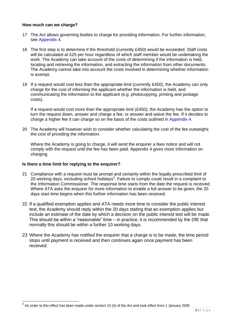#### **How much can we charge?**

- 17 The Act allows governing bodies to charge for providing information. For further information, see Appendix 4.
- 18 The first step is to determine if the threshold (currently £450) would be exceeded. Staff costs will be calculated at £25 per hour regardless of which staff member would be undertaking the work. The Academy can take account of the costs of determining if the information is held, locating and retrieving the information, and extracting the information from other documents. The Academy cannot take into account the costs involved in determining whether information is exempt.
- 19 If a request would cost less than the appropriate limit (currently £450), the Academy can only charge for the cost of informing the applicant whether the information is held, and communicating the information to the applicant (e.g. photocopying, printing and postage costs).

If a request would cost more than the appropriate limit (£450), the Academy has the option to turn the request down, answer and charge a fee, or answer and waive the fee. If it decides to charge a higher fee it can charge so on the basis of the costs outlined in Appendix 4.

20 The Academy will however wish to consider whether calculating the cost of the fee outweighs the cost of providing the information.

Where the Academy is going to charge, it will send the enquirer a fees notice and will not comply with the request until the fee has been paid. Appendix 4 gives more information on charging.

#### **Is there a time limit for replying to the enquirer?**

 $\overline{a}$ 

- 21 Compliance with a request must be prompt and certainly within the legally prescribed limit of 20 working days, excluding school holidays<sup>4</sup>. Failure to comply could result in a complaint to the Information Commissioner. The response time starts from the date the request is received. Where ATA asks the enquirer for more information to enable a full answer to be given, the 20 days start time begins when this further information has been received.
- 22 If a qualified exemption applies and ATA needs more time to consider the public interest test, the Academy should reply within the 20 days stating that an exemption applies but include an estimate of the date by which a decision on the public interest test will be made. This should be within a "reasonable" time – in practice, it is recommended by the DfE that normally this should be within a further 10 working days.
- 23 Where the Academy has notified the enquirer that a charge is to be made, the time period stops until payment is received and then continues again once payment has been received.

 $^4$  An order to this effect has been made under section 10 (4) of the Act and took effect from 1 January 2005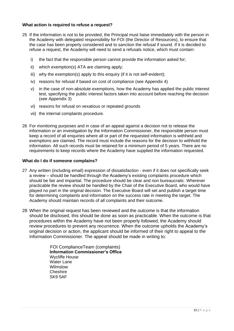#### **What action is required to refuse a request?**

- 25 If the information is not to be provided, the Principal must liaise immediately with the person in the Academy with delegated responsibility for FOI (the Director of Resources), to ensure that the case has been properly considered and to sanction the refusal if sound. If it is decided to refuse a request, the Academy will need to send a refusals notice, which must contain:
	- i) the fact that the responsible person cannot provide the information asked for;
	- ii) which exemption(s) ATA are claiming apply;
	- iii) why the exemption(s) apply to this enquiry (if it is not self-evident);
	- iv) reasons for refusal if based on cost of compliance (see Appendix 4)
	- v) in the case of non-absolute exemptions, how the Academy has applied the public interest test, specifying the public interest factors taken into account before reaching the decision (see Appendix 3)
	- vi) reasons for refusal on vexatious or repeated grounds
	- vii) the internal complaints procedure.
- 26 For monitoring purposes and in case of an appeal against a decision not to release the information or an investigation by the Information Commissioner, the responsible person must keep a record of all enquiries where all or part of the requested information is withheld and exemptions are claimed. The record must include the reasons for the decision to withhold the information. All such records must be retained for a minimum period of 5 years. There are no requirements to keep records where the Academy have supplied the information requested.

#### **What do I do if someone complains?**

- 27 Any written (including email) expression of dissatisfaction even if it does not specifically seek a review – should be handled through the Academy"s existing complaints procedure which should be fair and impartial. The procedure should be clear and non bureaucratic. Wherever practicable the review should be handled by the Chair of the Executive Board, who would have played no part in the original decision. The Executive Board will set and publish a target time for determining complaints and information on the success rate in meeting the target. The Academy should maintain records of all complaints and their outcome.
- 28 When the original request has been reviewed and the outcome is that the information should be disclosed, this should be done as soon as practicable. When the outcome is that procedures within the Academy have not been properly followed, the Academy should review procedures to prevent any recurrence. When the outcome upholds the Academy's original decision or action, the applicant should be informed of their right to appeal to the Information Commissioner. The appeal should be made in writing to:

FOI ComplianceTeam (complaints) **Information Commissioner's Office** Wycliffe House Water Lane Wilmslow Cheshire SK9 5AF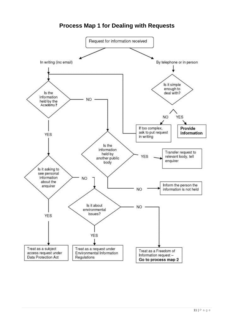

#### **Process Map 1 for Dealing with Requests**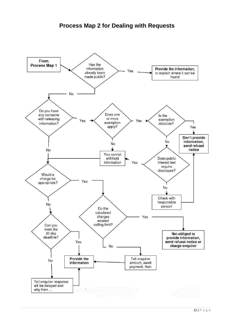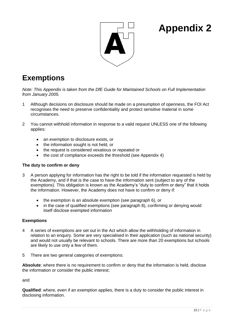

### **Exemptions**

*Note: This Appendix is taken from the DfE Guide for Maintained Schools on Full Implementation from January 2005.*

- 1 Although decisions on disclosure should be made on a presumption of openness, the FOI Act recognises the need to preserve confidentiality and protect sensitive material in some circumstances.
- 2 You cannot withhold information in response to a valid request UNLESS one of the following applies:
	- an exemption to disclosure exists, or
	- the information sought is not held, or
	- the request is considered vexatious or repeated or
	- the cost of compliance exceeds the threshold (see Appendix 4)

#### **The duty to confirm or deny**

- 3 A person applying for information has the right to be told if the information requested is held by the Academy, and if that is the case to have the information sent (subject to any of the exemptions). This obligation is known as the Academy's "duty to confirm or deny" that it holds the information. However, the Academy does not have to confirm or deny if:
	- the exemption is an absolute exemption (see paragraph 6), or
	- in the case of qualified exemptions (see paragraph 8), confirming or denying would itself disclose exempted information

#### **Exemptions**

- 4 A series of exemptions are set out in the Act which allow the withholding of information in relation to an enquiry. Some are very specialised in their application (such as national security) and would not usually be relevant to schools. There are more than 20 exemptions but schools are likely to use only a few of them.
- 5 There are two general categories of exemptions:

**Absolute**: where there is no requirement to confirm or deny that the information is held, disclose the information or consider the public interest;

and

**Qualified**: where, even if an exemption applies, there is a duty to consider the public interest in disclosing information.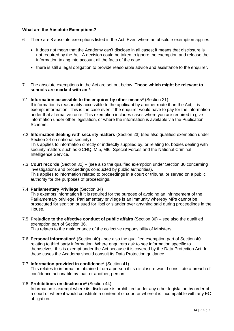#### **What are the Absolute Exemptions?**

- 6 There are 8 absolute exemptions listed in the Act. Even where an absolute exemption applies:
	- it does not mean that the Academy can"t disclose in all cases; it means that disclosure is not required by the Act. A decision could be taken to ignore the exemption and release the information taking into account all the facts of the case.
	- there is still a legal obligation to provide reasonable advice and assistance to the enquirer.
- 7 The absolute exemptions in the Act are set out below. **Those which might be relevant to schools are marked with an \*:**
- 7.1 **Information accessible to the enquirer by other means\*** (Section 21) If information is reasonably accessible to the applicant by another route than the Act, it is exempt information. This is the case even if the enquirer would have to pay for the information under that alternative route. This exemption includes cases where you are required to give information under other legislation, or where the information is available via the Publication Scheme.
- 7.2 **Information dealing with security matters** (Section 23) (see also qualified exemption under Section 24 on national security) This applies to information directly or indirectly supplied by, or relating to, bodies dealing with security matters such as GCHQ, MI5, MI6, Special Forces and the National Criminal Intelligence Service.
- 7.3 **Court records** (Section 32) (see also the qualified exemption under Section 30 concerning investigations and proceedings conducted by public authorities). This applies to information related to proceedings in a court or tribunal or served on a public authority for the purposes of proceedings.
- 7.4 **Parliamentary Privilege** (Section 34)

This exempts information if it is required for the purpose of avoiding an infringement of the Parliamentary privilege. Parliamentary privilege is an immunity whereby MPs cannot be prosecuted for sedition or sued for libel or slander over anything said during proceedings in the House.

7.5 **Prejudice to the effective conduct of public affairs** (Section 36) – see also the qualified exemption part of Section 36.

This relates to the maintenance of the collective responsibility of Ministers.

- 7.6 **Personal information\*** (Section 40) see also the qualified exemption part of Section 40 relating to third party information. Where enquirers ask to see information specific to themselves, this is exempt under the Act because it is covered by the Data Protection Act. In these cases the Academy should consult its Data Protection guidance.
- 7.7 **Information provided in confidence**\* (Section 41) This relates to information obtained from a person if its disclosure would constitute a breach of confidence actionable by that, or another, person.
- 7.8 **Prohibitions on disclosure\*** (Section 44)

Information is exempt where its disclosure is prohibited under any other legislation by order of a court or where it would constitute a contempt of court or where it is incompatible with any EC obligation.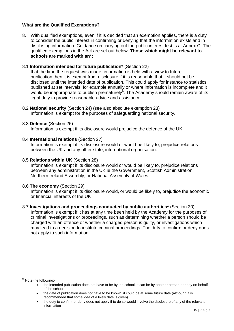#### **What are the Qualified Exemptions?**

8. With qualified exemptions, even if it is decided that an exemption applies, there is a duty to consider the public interest in confirming or denying that the information exists and in disclosing information. Guidance on carrying out the public interest test is at Annex C. The qualified exemptions in the Act are set out below. **Those which might be relevant to schools are marked with an\*:**

#### 8.1 **Information intended for future publication\*** (Section 22)

If at the time the request was made, information is held with a view to future publication,then it is exempt from disclosure if it is reasonable that it should not be disclosed until the intended date of publication. This could apply for instance to statistics published at set intervals, for example annually or where information is incomplete and it would be inappropriate to publish prematurely<sup>5</sup>. The Academy should remain aware of its legal duty to provide reasonable advice and assistance.

8.2 **National security** (Section 24**)** (see also absolute exemption 23) Information is exempt for the purposes of safeguarding national security.

#### 8.3 **Defence** (Section 26)

Information is exempt if its disclosure would prejudice the defence of the UK.

#### 8.4 **International relations** (Section 27)

Information is exempt if its disclosure would or would be likely to, prejudice relations between the UK and any other state, international organisation.

#### 8.5 **Relations within UK** (Section 28**)**

Information is exempt if its disclosure would or would be likely to, prejudice relations between any administration in the UK ie the Government, Scottish Administration, Northern Ireland Assembly, or National Assembly of Wales.

#### 8.6 **The economy** (Section 29)

Information is exempt if its disclosure would, or would be likely to, prejudice the economic or financial interests of the UK

8.7 **Investigations and proceedings conducted by public authorities\*** (Section 30) Information is exempt if it has at any time been held by the Academy for the purposes of criminal investigations or proceedings, such as determining whether a person should be charged with an offence or whether a charged person is guilty, or investigations which may lead to a decision to institute criminal proceedings. The duty to confirm or deny does not apply to such information.

<sup>&</sup>lt;sup>5</sup> Note the following:-

the intended publication does not have to be by the school, it can be by another person or body on behalf of the school

the date of publication does not have to be known, it could be at some future date (although it is recommended that some idea of a likely date is given)

the duty to confirm or deny does not apply if to do so would involve the disclosure of any of the relevant information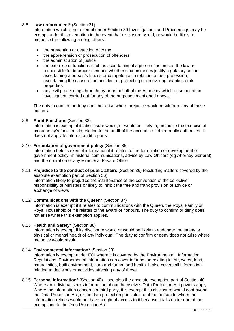#### 8.8 **Law enforcement\*** (Section 31)

Information which is not exempt under Section 30 Investigations and Proceedings, may be exempt under this exemption in the event that disclosure would, or would be likely to, prejudice the following among others:

- the prevention or detection of crime
- the apprehension or prosecution of offenders
- the administration of justice
- the exercise of functions such as ascertaining if a person has broken the law; is responsible for improper conduct; whether circumstances justify regulatory action; ascertaining a person's fitness or competence in relation to their profession; ascertaining the cause of an accident or protecting or recovering charities or its properties
- any civil proceedings brought by or on behalf of the Academy which arise out of an investigation carried out for any of the purposes mentioned above.

The duty to confirm or deny does not arise where prejudice would result from any of these matters.

#### 8.9 **Audit Functions** (Section 33)

Information is exempt if its disclosure would, or would be likely to, prejudice the exercise of an authority"s functions in relation to the audit of the accounts of other public authorities. It does not apply to internal audit reports.

#### 8.10 **Formulation of government policy** (Section 35)

Information held is exempt information if it relates to the formulation or development of government policy, ministerial communications, advice by Law Officers (eg Attorney General) and the operation of any Ministerial Private Office

8.11 **Prejudice to the conduct of public affairs** (Section 36) (excluding matters covered by the absolute exemption part of Section 36) Information likely to prejudice the maintenance of the convention of the collective responsibility of Ministers or likely to inhibit the free and frank provision of advice or exchange of views

#### 8.12 **Communications with the Queen\*** (Section 37)

Information is exempt if it relates to communications with the Queen, the Royal Family or Royal Household or if it relates to the award of honours. The duty to confirm or deny does not arise where this exemption applies.

#### 8.13 **Health and Safety\*** (Section 38)

Information is exempt if its disclosure would or would be likely to endanger the safety or physical or mental health of any individual. The duty to confirm or deny does not arise where prejudice would result.

#### 8.14 **Environmental information\*** (Section 39)

Information is exempt under FOI where it is covered by the Environmental Information Regulations. Environmental information can cover information relating to: air, water, land, natural sites, built environment, flora and fauna, and health. It also covers all information relating to decisions or activities affecting any of these.

8.15 **Personal information**\* (Section 40) – see also the absolute exemption part of Section 40 Where an individual seeks information about themselves Data Protection Act powers apply. Where the information concerns a third party, it is exempt if its disclosure would contravene the Data Protection Act, or the data protection principles; or if the person to whom the information relates would not have a right of access to it because it falls under one of the exemptions to the Data Protection Act.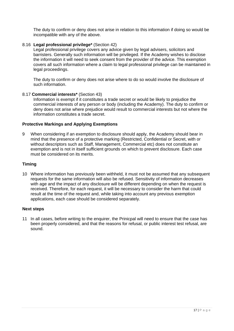The duty to confirm or deny does not arise in relation to this information if doing so would be incompatible with any of the above.

#### 8.16 **Legal professional privilege\*** (Section 42)

Legal professional privilege covers any advice given by legal advisers, solicitors and barristers. Generally such information will be privileged. If the Academy wishes to disclose the information it will need to seek consent from the provider of the advice. This exemption covers all such information where a claim to legal professional privilege can be maintained in legal proceedings.

The duty to confirm or deny does not arise where to do so would involve the disclosure of such information.

#### 8.17 **Commercial interests\*** (Section 43)

Information is exempt if it constitutes a trade secret or would be likely to prejudice the commercial interests of any person or body (including the Academy). The duty to confirm or deny does not arise where prejudice would result to commercial interests but not where the information constitutes a trade secret.

#### **Protective Markings and Applying Exemptions**

9 When considering if an exemption to disclosure should apply, the Academy should bear in mind that the presence of a protective marking (Restricted, Confidential or Secret, with or without descriptors such as Staff, Management, Commercial etc) does not constitute an exemption and is not in itself sufficient grounds on which to prevent disclosure. Each case must be considered on its merits.

#### **Timing**

10 Where information has previously been withheld, it must not be assumed that any subsequent requests for the same information will also be refused. Sensitivity of information decreases with age and the impact of any disclosure will be different depending on when the request is received. Therefore, for each request, it will be necessary to consider the harm that could result at the time of the request and, while taking into account any previous exemption applications, each case should be considered separately.

#### **Next steps**

11 In all cases, before writing to the enquirer, the Prinicpal will need to ensure that the case has been properly considered, and that the reasons for refusal, or public interest test refusal, are sound.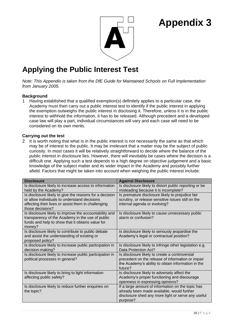

### **Applying the Public Interest Test**

*Note: This Appendix is taken from the DfE Guide for Maintained Schools on Full Implementation from January 2005.*

#### **Background**

1 Having established that a qualified exemption(s) definitely applies to a particular case, the Academy must then carry out a public interest test to identify if the public interest in applying the exemption outweighs the public interest in disclosing it. Therefore, unless it is in the public interest to withhold the information, it has to be released. Although precedent and a developed case law will play a part, individual circumstances will vary and each case will need to be considered on its own merits.

#### **Carrying out the test**

2 It is worth noting that what is in the public interest is not necessarily the same as that which may be of interest to the public. It may be irrelevant that a matter may be the subject of public curiosity. In most cases it will be relatively straightforward to decide where the balance of the public interest in disclosure lies. However, there will inevitably be cases where the decision is a difficult one. Applying such a test depends to a high degree on objective judgement and a basic knowledge of the subject matter and its wider impact in the Academy and possibly further afield. Factors that might be taken into account when weighing the public interest include:

| <b>Disclosure</b>                                                                                                                                                                  | <b>Against Disclosure</b>                                                                                                                                            |
|------------------------------------------------------------------------------------------------------------------------------------------------------------------------------------|----------------------------------------------------------------------------------------------------------------------------------------------------------------------|
| Is disclosure likely to increase access to information<br>held by the Academy?                                                                                                     | Is disclosure likely to distort public reporting or be<br>misleading because it is incomplete?                                                                       |
| Is disclosure likely to give the reasons for a decision<br>or allow individuals to understand decisions<br>affecting their lives or assist them in challenging<br>those decisions? | Is premature disclosure likely to prejudice fair<br>scrutiny, or release sensitive issues still on the<br>internal agenda or evolving?                               |
| Is disclosure likely to improve the accountability and<br>transparency of the Academy in the use of public<br>funds and help to show that it obtains value for<br>money?           | Is disclosure likely to cause unnecessary public<br>alarm or confusion?                                                                                              |
| Is disclosure likely to contribute to public debate<br>and assist the understanding of existing or<br>proposed policy?                                                             | Is disclosure likely to seriously jeopardise the<br>Academy's legal or contractual position?                                                                         |
| Is disclosure likely to increase public participation in<br>decision-making?                                                                                                       | Is disclosure likely to infringe other legislation e.g.<br>Data Protection Act?                                                                                      |
| Is disclosure likely to increase public participation in<br>political processes in general?                                                                                        | Is disclosure likely to create a controversial<br>precedent on the release of information or impair<br>the Academy's ability to obtain information in the<br>future? |
| Is disclosure likely to bring to light information<br>affecting public safety?                                                                                                     | Is disclosure likely to adversely affect the<br>Academy's proper functioning and discourage<br>openness in expressing opinions?                                      |
| Is disclosure likely to reduce further enquiries on<br>the topic?                                                                                                                  | If a large amount of information on the topic has<br>already been made available, would further<br>disclosure shed any more light or serve any useful<br>purpose?    |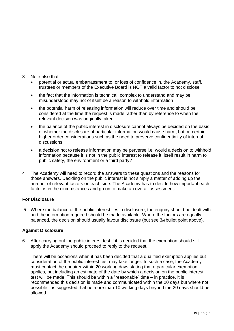- 3 Note also that:
	- potential or actual embarrassment to, or loss of confidence in, the Academy, staff, trustees or members of the Executive Board is NOT a valid factor to not disclose
	- the fact that the information is technical, complex to understand and may be misunderstood may not of itself be a reason to withhold information
	- the potential harm of releasing information will reduce over time and should be considered at the time the request is made rather than by reference to when the relevant decision was originally taken
	- the balance of the public interest in disclosure cannot always be decided on the basis of whether the disclosure of particular information would cause harm, but on certain higher order considerations such as the need to preserve confidentiality of internal discussions
	- a decision not to release information may be perverse i.e. would a decision to withhold information because it is not in the public interest to release it, itself result in harm to public safety, the environment or a third party?
- 4 The Academy will need to record the answers to these questions and the reasons for those answers. Deciding on the public interest is not simply a matter of adding up the number of relevant factors on each side. The Academy has to decide how important each factor is in the circumstances and go on to make an overall assessment.

#### **For Disclosure**

5 Where the balance of the public interest lies in disclosure, the enquiry should be dealt with and the information required should be made available. Where the factors are equallybalanced, the decision should usually favour disclosure (but see 3rd bullet point above).

#### **Against Disclosure**

6 After carrying out the public interest test if it is decided that the exemption should still apply the Academy should proceed to reply to the request.

There will be occasions when it has been decided that a qualified exemption applies but consideration of the public interest test may take longer. In such a case, the Academy must contact the enquirer within 20 working days stating that a particular exemption applies, but including an estimate of the date by which a decision on the public interest test will be made. This should be within a "reasonable" time – in practice, it is recommended this decision is made and communicated within the 20 days but where not possible it is suggested that no more than 10 working days beyond the 20 days should be allowed.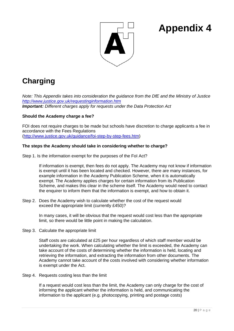

### **Charging**

*Note: This Appendix takes into consideration the guidance from the DfE and the Ministry of Justice <http://www.justice.gov.uk/requestinginformation.htm> Important: Different charges apply for requests under the Data Protection Act*

#### **Should the Academy charge a fee?**

FOI does not require charges to be made but schools have discretion to charge applicants a fee in accordance with the Fees Regulations [\(http://www.justice.gov.uk/guidance/foi-step-by-step-fees.htm\)](http://www.justice.gov.uk/guidance/foi-step-by-step-fees.htm)

#### **The steps the Academy should take in considering whether to charge?**

Step 1. Is the information exempt for the purposes of the FoI Act?

If information is exempt, then fees do not apply. The Academy may not know if information is exempt until it has been located and checked. However, there are many instances, for example information in the Academy Publication Scheme, when it is automatically exempt. The Academy applies charges for certain information from its Publication Scheme, and makes this clear in the scheme itself. The Academy would need to contact the enquirer to inform them that the information is exempt, and how to obtain it.

Step 2. Does the Academy wish to calculate whether the cost of the request would exceed the appropriate limit (currently £450)?

> In many cases, it will be obvious that the request would cost less than the appropriate limit, so there would be little point in making the calculation.

Step 3. Calculate the appropriate limit

Staff costs are calculated at £25 per hour regardless of which staff member would be undertaking the work. When calculating whether the limit is exceeded, the Academy can take account of the costs of determining whether the information is held, locating and retrieving the information, and extracting the information from other documents. The Academy cannot take account of the costs involved with considering whether information is exempt under the Act.

Step 4. Requests costing less than the limit

If a request would cost less than the limit, the Academy can only charge for the cost of informing the applicant whether the information is held, and communicating the information to the applicant (e.g. photocopying, printing and postage costs)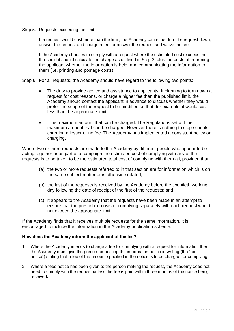Step 5. Requests exceeding the limit

If a request would cost more than the limit, the Academy can either turn the request down, answer the request and charge a fee, or answer the request and waive the fee.

If the Academy chooses to comply with a request where the estimated cost exceeds the threshold it should calculate the charge as outlined in Step 3, plus the costs of informing the applicant whether the information is held, and communicating the information to them (i.e. printing and postage costs)

- Step 6. For all requests, the Academy should have regard to the following two points:
	- The duty to provide advice and assistance to applicants. If planning to turn down a request for cost reasons, or charge a higher fee than the published limit, the Academy should contact the applicant in advance to discuss whether they would prefer the scope of the request to be modified so that, for example, it would cost less than the appropriate limit.
	- The maximum amount that can be charged. The Regulations set out the maximum amount that can be charged. However there is nothing to stop schools charging a lesser or no fee. The Academy has implemented a consistent policy on charging.

Where two or more requests are made to the Academy by different people who appear to be acting together or as part of a campaign the estimated cost of complying with any of the requests is to be taken to be the estimated total cost of complying with them all, provided that:

- (a) the two or more requests referred to in that section are for information which is on the same subject matter or is otherwise related;
- (b) the last of the requests is received by the Academy before the twentieth working day following the date of receipt of the first of the requests; and
- (c) it appears to the Academy that the requests have been made in an attempt to ensure that the prescribed costs of complying separately with each request would not exceed the appropriate limit.

If the Academy finds that it receives multiple requests for the same information, it is encouraged to include the information in the Academy publication scheme.

#### **How does the Academy inform the applicant of the fee?**

- 1 Where the Academy intends to charge a fee for complying with a request for information then the Academy must give the person requesting the information notice in writing (the "fees notice") stating that a fee of the amount specified in the notice is to be charged for complying.
- 2 Where a fees notice has been given to the person making the request, the Academy does not need to comply with the request unless the fee is paid within three months of the notice being received**.**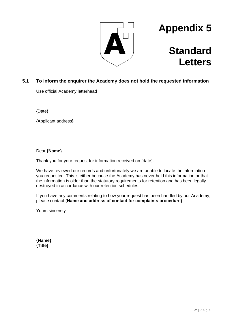

### **Standard Letters**

#### **5.1 To inform the enquirer the Academy does not hold the requested information**

Use official Academy letterhead

{Date}

{Applicant address}

#### Dear **{Name}**

Thank you for your request for information received on {date}.

We have reviewed our records and unfortunately we are unable to locate the information you requested. This is either because the Academy has never held this information or that the information is older than the statutory requirements for retention and has been legally destroyed in accordance with our retention schedules.

If you have any comments relating to how your request has been handled by our Academy, please contact **{Name and address of contact for complaints procedure}**.

Yours sincerely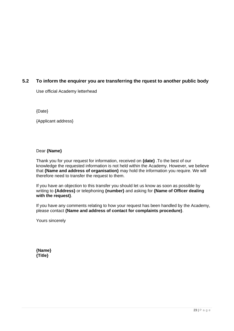#### **5.2 To inform the enquirer you are transferring the rquest to another public body**

Use official Academy letterhead

{Date}

{Applicant address}

#### Dear **{Name}**

Thank you for your request for information, received on **{date}** .To the best of our knowledge the requested information is not held within the Academy. However, we believe that **{Name and address of organisation}** may hold the information you require. We will therefore need to transfer the request to them.

If you have an objection to this transfer you should let us know as soon as possible by writing to **{Address}** or telephoning **{number}** and asking for **{Name of Officer dealing with the request}**.

If you have any comments relating to how your request has been handled by the Academy, please contact **{Name and address of contact for complaints procedure}**.

Yours sincerely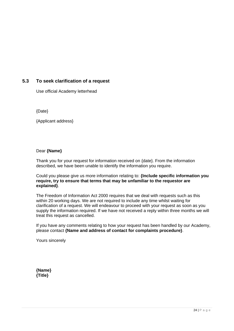#### **5.3 To seek clarification of a request**

Use official Academy letterhead

{Date}

{Applicant address}

#### Dear **{Name}**

Thank you for your request for information received on {date}. From the information described, we have been unable to identify the information you require.

Could you please give us more information relating to: **{Include specific information you require, try to ensure that terms that may be unfamiliar to the requestor are explained}**.

The Freedom of Information Act 2000 requires that we deal with requests such as this within 20 working days. We are not required to include any time whilst waiting for clarification of a request. We will endeavour to proceed with your request as soon as you supply the information required. If we have not received a reply within three months we will treat this request as cancelled.

If you have any comments relating to how your request has been handled by our Academy, please contact **{Name and address of contact for complaints procedure}**.

Yours sincerely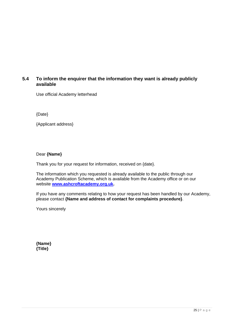#### **5.4 To inform the enquirer that the information they want is already publicly available**

Use official Academy letterhead

{Date}

{Applicant address}

#### Dear **{Name}**

Thank you for your request for information, received on {date}.

The information which you requested is already available to the public through our Academy Publication Scheme, which is available from the Academy office or on our website **[www.ashcroftacademy.org.uk.](http://www.ashcroftacademy.org.uk/)**

If you have any comments relating to how your request has been handled by our Academy, please contact **{Name and address of contact for complaints procedure}**.

Yours sincerely